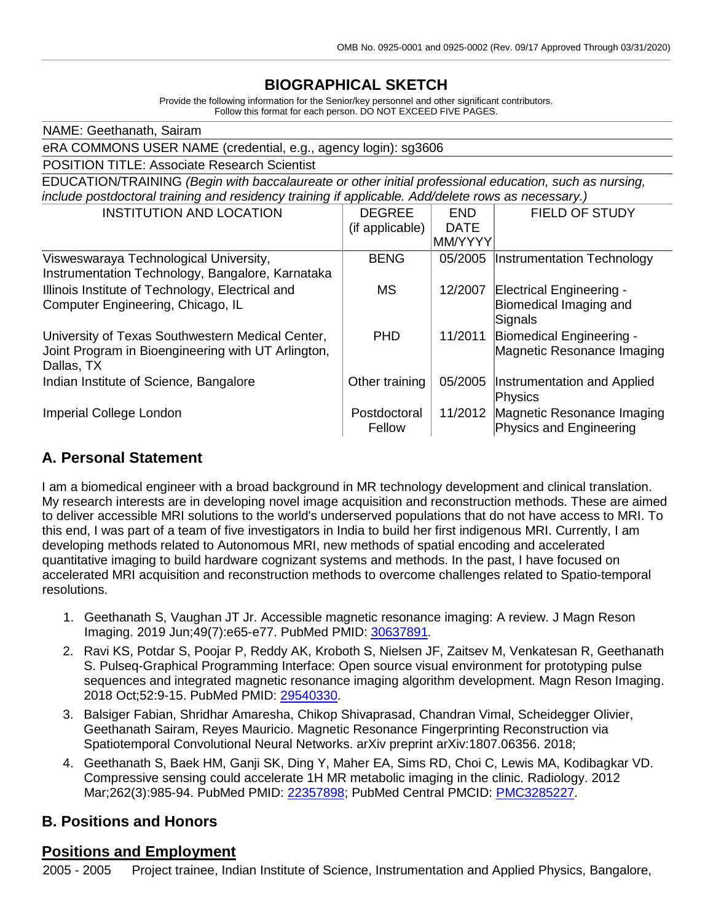# **BIOGRAPHICAL SKETCH**

Provide the following information for the Senior/key personnel and other significant contributors. Follow this format for each person. DO NOT EXCEED FIVE PAGES.

| NAME: Geethanath, Sairam                                                                               |                 |             |                                   |  |
|--------------------------------------------------------------------------------------------------------|-----------------|-------------|-----------------------------------|--|
| eRA COMMONS USER NAME (credential, e.g., agency login): sg3606                                         |                 |             |                                   |  |
| <b>POSITION TITLE: Associate Research Scientist</b>                                                    |                 |             |                                   |  |
| EDUCATION/TRAINING (Begin with baccalaureate or other initial professional education, such as nursing, |                 |             |                                   |  |
| include postdoctoral training and residency training if applicable. Add/delete rows as necessary.)     |                 |             |                                   |  |
| <b>INSTITUTION AND LOCATION</b>                                                                        | <b>DEGREE</b>   | <b>END</b>  | FIELD OF STUDY                    |  |
|                                                                                                        | (if applicable) | <b>DATE</b> |                                   |  |
|                                                                                                        |                 | MM/YYYY     |                                   |  |
| Visweswaraya Technological University,                                                                 | <b>BENG</b>     | 05/2005     | Instrumentation Technology        |  |
| Instrumentation Technology, Bangalore, Karnataka                                                       |                 |             |                                   |  |
| Illinois Institute of Technology, Electrical and                                                       | <b>MS</b>       | 12/2007     | Electrical Engineering -          |  |
| Computer Engineering, Chicago, IL                                                                      |                 |             | Biomedical Imaging and<br>Signals |  |
| University of Texas Southwestern Medical Center,                                                       | <b>PHD</b>      | 11/2011     | Biomedical Engineering -          |  |
| Joint Program in Bioengineering with UT Arlington,                                                     |                 |             | Magnetic Resonance Imaging        |  |
| Dallas, TX                                                                                             |                 |             |                                   |  |
| Indian Institute of Science, Bangalore                                                                 | Other training  | 05/2005     | Instrumentation and Applied       |  |
|                                                                                                        |                 |             | Physics                           |  |
| Imperial College London                                                                                | Postdoctoral    | 11/2012     | Magnetic Resonance Imaging        |  |
|                                                                                                        | Fellow          |             | Physics and Engineering           |  |

#### **A. Personal Statement**

I am a biomedical engineer with a broad background in MR technology development and clinical translation. My research interests are in developing novel image acquisition and reconstruction methods. These are aimed to deliver accessible MRI solutions to the world's underserved populations that do not have access to MRI. To this end, I was part of a team of five investigators in India to build her first indigenous MRI. Currently, I am developing methods related to Autonomous MRI, new methods of spatial encoding and accelerated quantitative imaging to build hardware cognizant systems and methods. In the past, I have focused on accelerated MRI acquisition and reconstruction methods to overcome challenges related to Spatio-temporal resolutions.

- 1. Geethanath S, Vaughan JT Jr. Accessible magnetic resonance imaging: A review. J Magn Reson Imaging. 2019 Jun;49(7):e65-e77. PubMed PMID: [30637891.](http://www.ncbi.nlm.nih.gov/pubmed/30637891/)
- 2. Ravi KS, Potdar S, Poojar P, Reddy AK, Kroboth S, Nielsen JF, Zaitsev M, Venkatesan R, Geethanath S. Pulseq-Graphical Programming Interface: Open source visual environment for prototyping pulse sequences and integrated magnetic resonance imaging algorithm development. Magn Reson Imaging. 2018 Oct;52:9-15. PubMed PMID: [29540330.](http://www.ncbi.nlm.nih.gov/pubmed/29540330/)
- 3. Balsiger Fabian, Shridhar Amaresha, Chikop Shivaprasad, Chandran Vimal, Scheidegger Olivier, Geethanath Sairam, Reyes Mauricio. Magnetic Resonance Fingerprinting Reconstruction via Spatiotemporal Convolutional Neural Networks. arXiv preprint arXiv:1807.06356. 2018;
- 4. Geethanath S, Baek HM, Ganji SK, Ding Y, Maher EA, Sims RD, Choi C, Lewis MA, Kodibagkar VD. Compressive sensing could accelerate 1H MR metabolic imaging in the clinic. Radiology. 2012 Mar;262(3):985-94. PubMed PMID: [22357898;](http://www.ncbi.nlm.nih.gov/pubmed/22357898/) PubMed Central PMCID: [PMC3285227.](http://www.ncbi.nlm.nih.gov/pmc/articles/PMC3285227/)

#### **B. Positions and Honors**

#### **Positions and Employment**

2005 - 2005 Project trainee, Indian Institute of Science, Instrumentation and Applied Physics, Bangalore,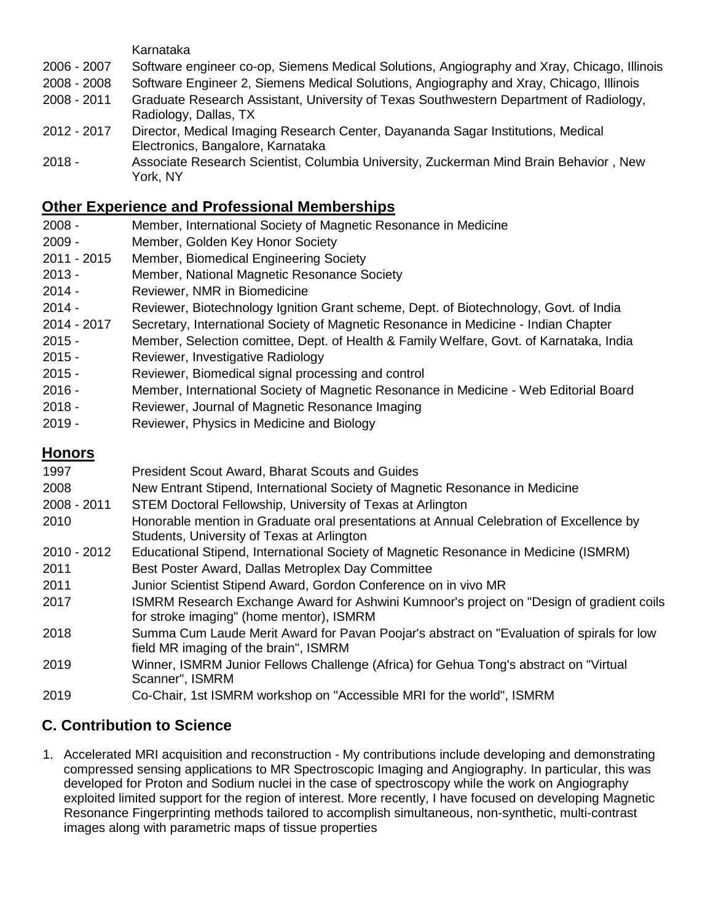Karnataka

- 2007 Software engineer co-op, Siemens Medical Solutions, Angiography and Xray, Chicago, Illinois
- 2008 Software Engineer 2, Siemens Medical Solutions, Angiography and Xray, Chicago, Illinois
- 2011 Graduate Research Assistant, University of Texas Southwestern Department of Radiology, Radiology, Dallas, TX
- 2017 Director, Medical Imaging Research Center, Dayananda Sagar Institutions, Medical Electronics, Bangalore, Karnataka
- Associate Research Scientist, Columbia University, Zuckerman Mind Brain Behavior , New York, NY

### **Other Experience and Professional Memberships**

- Member, International Society of Magnetic Resonance in Medicine
- Member, Golden Key Honor Society
- 2015 Member, Biomedical Engineering Society
- Member, National Magnetic Resonance Society
- Reviewer, NMR in Biomedicine
- Reviewer, Biotechnology Ignition Grant scheme, Dept. of Biotechnology, Govt. of India
- 2017 Secretary, International Society of Magnetic Resonance in Medicine Indian Chapter
- Member, Selection comittee, Dept. of Health & Family Welfare, Govt. of Karnataka, India
- Reviewer, Investigative Radiology
- Reviewer, Biomedical signal processing and control
- Member, International Society of Magnetic Resonance in Medicine Web Editorial Board
- Reviewer, Journal of Magnetic Resonance Imaging
- Reviewer, Physics in Medicine and Biology

## **Honors**

| 1997          | President Scout Award, Bharat Scouts and Guides                                                                                       |
|---------------|---------------------------------------------------------------------------------------------------------------------------------------|
| 2008          | New Entrant Stipend, International Society of Magnetic Resonance in Medicine                                                          |
| $2008 - 2011$ | STEM Doctoral Fellowship, University of Texas at Arlington                                                                            |
| 2010          | Honorable mention in Graduate oral presentations at Annual Celebration of Excellence by<br>Students, University of Texas at Arlington |
| 2010 - 2012   | Educational Stipend, International Society of Magnetic Resonance in Medicine (ISMRM)                                                  |
| 2011          | Best Poster Award, Dallas Metroplex Day Committee                                                                                     |
| 2011          | Junior Scientist Stipend Award, Gordon Conference on in vivo MR                                                                       |
| 2017          | ISMRM Research Exchange Award for Ashwini Kumnoor's project on "Design of gradient coils<br>for stroke imaging" (home mentor), ISMRM  |
| 2018          | Summa Cum Laude Merit Award for Pavan Poojar's abstract on "Evaluation of spirals for low<br>field MR imaging of the brain", ISMRM    |
| 2019          | Winner, ISMRM Junior Fellows Challenge (Africa) for Gehua Tong's abstract on "Virtual<br>Scanner", ISMRM                              |
| 2019          | Co-Chair, 1st ISMRM workshop on "Accessible MRI for the world", ISMRM                                                                 |

## **C. Contribution to Science**

1. Accelerated MRI acquisition and reconstruction - My contributions include developing and demonstrating compressed sensing applications to MR Spectroscopic Imaging and Angiography. In particular, this was developed for Proton and Sodium nuclei in the case of spectroscopy while the work on Angiography exploited limited support for the region of interest. More recently, I have focused on developing Magnetic Resonance Fingerprinting methods tailored to accomplish simultaneous, non-synthetic, multi-contrast images along with parametric maps of tissue properties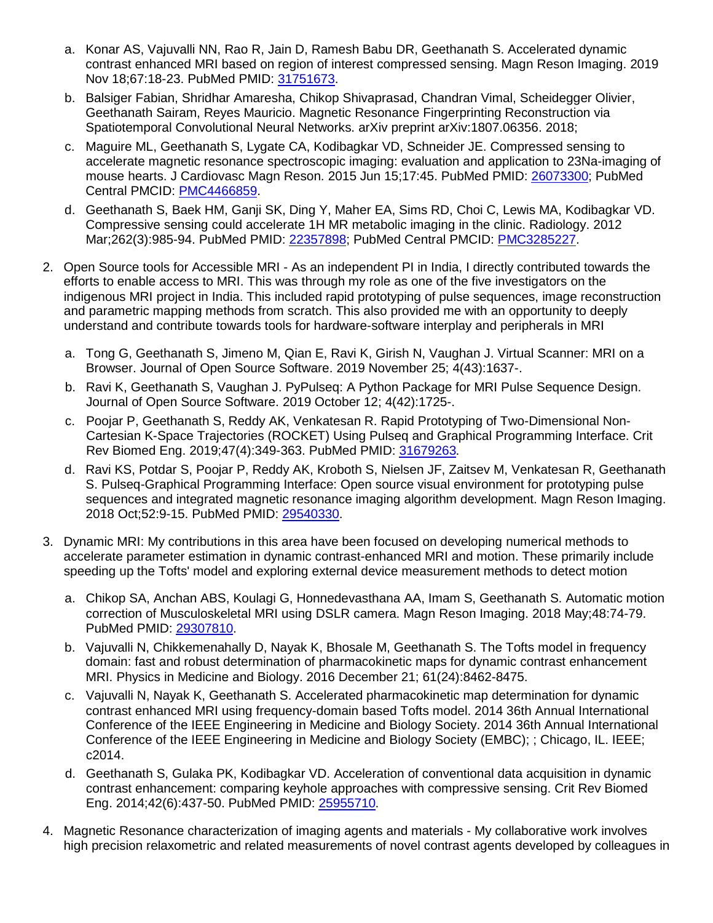- a. Konar AS, Vajuvalli NN, Rao R, Jain D, Ramesh Babu DR, Geethanath S. Accelerated dynamic contrast enhanced MRI based on region of interest compressed sensing. Magn Reson Imaging. 2019 Nov 18;67:18-23. PubMed PMID: [31751673.](http://www.ncbi.nlm.nih.gov/pubmed/31751673/)
- b. Balsiger Fabian, Shridhar Amaresha, Chikop Shivaprasad, Chandran Vimal, Scheidegger Olivier, Geethanath Sairam, Reyes Mauricio. Magnetic Resonance Fingerprinting Reconstruction via Spatiotemporal Convolutional Neural Networks. arXiv preprint arXiv:1807.06356. 2018;
- c. Maguire ML, Geethanath S, Lygate CA, Kodibagkar VD, Schneider JE. Compressed sensing to accelerate magnetic resonance spectroscopic imaging: evaluation and application to 23Na-imaging of mouse hearts. J Cardiovasc Magn Reson. 2015 Jun 15;17:45. PubMed PMID: [26073300;](http://www.ncbi.nlm.nih.gov/pubmed/26073300/) PubMed Central PMCID: [PMC4466859.](http://www.ncbi.nlm.nih.gov/pmc/articles/PMC4466859/)
- d. Geethanath S, Baek HM, Ganji SK, Ding Y, Maher EA, Sims RD, Choi C, Lewis MA, Kodibagkar VD. Compressive sensing could accelerate 1H MR metabolic imaging in the clinic. Radiology. 2012 Mar;262(3):985-94. PubMed PMID: [22357898;](http://www.ncbi.nlm.nih.gov/pubmed/22357898/) PubMed Central PMCID: [PMC3285227.](http://www.ncbi.nlm.nih.gov/pmc/articles/PMC3285227/)
- 2. Open Source tools for Accessible MRI As an independent PI in India, I directly contributed towards the efforts to enable access to MRI. This was through my role as one of the five investigators on the indigenous MRI project in India. This included rapid prototyping of pulse sequences, image reconstruction and parametric mapping methods from scratch. This also provided me with an opportunity to deeply understand and contribute towards tools for hardware-software interplay and peripherals in MRI
	- a. Tong G, Geethanath S, Jimeno M, Qian E, Ravi K, Girish N, Vaughan J. Virtual Scanner: MRI on a Browser. Journal of Open Source Software. 2019 November 25; 4(43):1637-.
	- b. Ravi K, Geethanath S, Vaughan J. PyPulseq: A Python Package for MRI Pulse Sequence Design. Journal of Open Source Software. 2019 October 12; 4(42):1725-.
	- c. Poojar P, Geethanath S, Reddy AK, Venkatesan R. Rapid Prototyping of Two-Dimensional Non-Cartesian K-Space Trajectories (ROCKET) Using Pulseq and Graphical Programming Interface. Crit Rev Biomed Eng. 2019;47(4):349-363. PubMed PMID: [31679263.](http://www.ncbi.nlm.nih.gov/pubmed/31679263/)
	- d. Ravi KS, Potdar S, Poojar P, Reddy AK, Kroboth S, Nielsen JF, Zaitsev M, Venkatesan R, Geethanath S. Pulseq-Graphical Programming Interface: Open source visual environment for prototyping pulse sequences and integrated magnetic resonance imaging algorithm development. Magn Reson Imaging. 2018 Oct;52:9-15. PubMed PMID: [29540330.](http://www.ncbi.nlm.nih.gov/pubmed/29540330/)
- 3. Dynamic MRI: My contributions in this area have been focused on developing numerical methods to accelerate parameter estimation in dynamic contrast-enhanced MRI and motion. These primarily include speeding up the Tofts' model and exploring external device measurement methods to detect motion
	- a. Chikop SA, Anchan ABS, Koulagi G, Honnedevasthana AA, Imam S, Geethanath S. Automatic motion correction of Musculoskeletal MRI using DSLR camera. Magn Reson Imaging. 2018 May;48:74-79. PubMed PMID: [29307810.](http://www.ncbi.nlm.nih.gov/pubmed/29307810/)
	- b. Vajuvalli N, Chikkemenahally D, Nayak K, Bhosale M, Geethanath S. The Tofts model in frequency domain: fast and robust determination of pharmacokinetic maps for dynamic contrast enhancement MRI. Physics in Medicine and Biology. 2016 December 21; 61(24):8462-8475.
	- c. Vajuvalli N, Nayak K, Geethanath S. Accelerated pharmacokinetic map determination for dynamic contrast enhanced MRI using frequency-domain based Tofts model. 2014 36th Annual International Conference of the IEEE Engineering in Medicine and Biology Society. 2014 36th Annual International Conference of the IEEE Engineering in Medicine and Biology Society (EMBC); ; Chicago, IL. IEEE; c2014.
	- d. Geethanath S, Gulaka PK, Kodibagkar VD. Acceleration of conventional data acquisition in dynamic contrast enhancement: comparing keyhole approaches with compressive sensing. Crit Rev Biomed Eng. 2014;42(6):437-50. PubMed PMID: [25955710.](http://www.ncbi.nlm.nih.gov/pubmed/25955710/)
- 4. Magnetic Resonance characterization of imaging agents and materials My collaborative work involves high precision relaxometric and related measurements of novel contrast agents developed by colleagues in